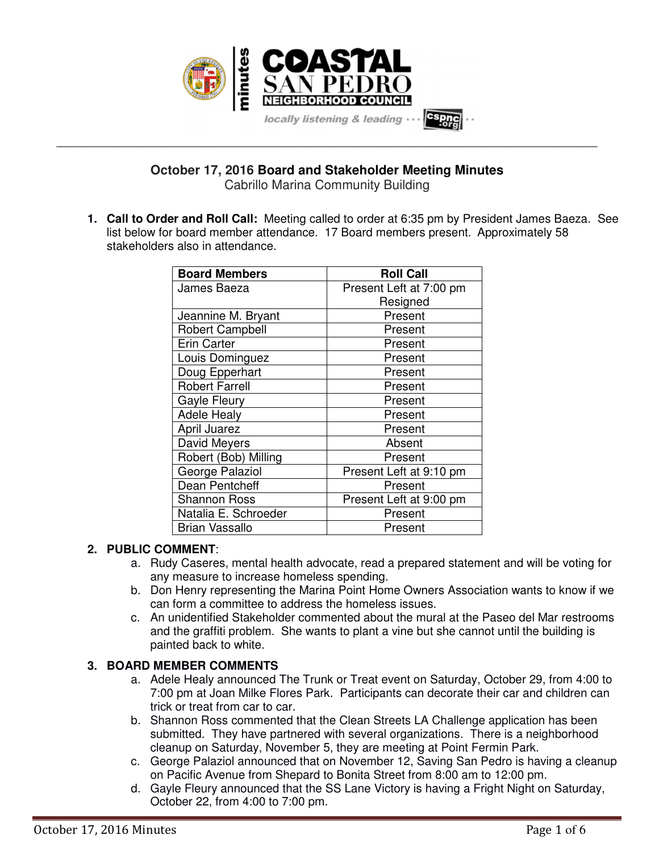

**October 17, 2016 Board and Stakeholder Meeting Minutes** Cabrillo Marina Community Building

**\_\_\_\_\_\_\_\_\_\_\_\_\_\_\_\_\_\_\_\_\_\_\_\_\_\_\_\_\_\_\_\_\_\_\_\_\_\_\_\_\_\_\_\_\_\_\_\_\_\_\_\_\_\_\_\_\_\_\_\_\_\_\_\_\_\_\_\_\_\_\_\_\_\_\_\_\_\_\_\_\_\_\_\_\_\_\_\_\_\_\_\_\_\_\_\_\_\_\_\_\_\_\_\_\_\_\_\_\_\_\_\_\_**

**1. Call to Order and Roll Call:** Meeting called to order at 6:35 pm by President James Baeza. See list below for board member attendance. 17 Board members present. Approximately 58 stakeholders also in attendance.

| <b>Board Members</b>   | <b>Roll Call</b>        |  |
|------------------------|-------------------------|--|
| James Baeza            | Present Left at 7:00 pm |  |
|                        | Resigned                |  |
| Jeannine M. Bryant     | Present                 |  |
| <b>Robert Campbell</b> | Present                 |  |
| <b>Erin Carter</b>     | Present                 |  |
| Louis Dominguez        | Present                 |  |
| Doug Epperhart         | Present                 |  |
| <b>Robert Farrell</b>  | Present                 |  |
| <b>Gayle Fleury</b>    | Present                 |  |
| <b>Adele Healy</b>     | Present                 |  |
| April Juarez           | Present                 |  |
| David Meyers           | Absent                  |  |
| Robert (Bob) Milling   | Present                 |  |
| George Palaziol        | Present Left at 9:10 pm |  |
| Dean Pentcheff         | Present                 |  |
| <b>Shannon Ross</b>    | Present Left at 9:00 pm |  |
| Natalia E. Schroeder   | Present                 |  |
| <b>Brian Vassallo</b>  | Present                 |  |

## **2. PUBLIC COMMENT**:

- a. Rudy Caseres, mental health advocate, read a prepared statement and will be voting for any measure to increase homeless spending.
- b. Don Henry representing the Marina Point Home Owners Association wants to know if we can form a committee to address the homeless issues.
- c. An unidentified Stakeholder commented about the mural at the Paseo del Mar restrooms and the graffiti problem. She wants to plant a vine but she cannot until the building is painted back to white.

## **3. BOARD MEMBER COMMENTS**

- a. Adele Healy announced The Trunk or Treat event on Saturday, October 29, from 4:00 to 7:00 pm at Joan Milke Flores Park. Participants can decorate their car and children can trick or treat from car to car.
- b. Shannon Ross commented that the Clean Streets LA Challenge application has been submitted. They have partnered with several organizations. There is a neighborhood cleanup on Saturday, November 5, they are meeting at Point Fermin Park.
- c. George Palaziol announced that on November 12, Saving San Pedro is having a cleanup on Pacific Avenue from Shepard to Bonita Street from 8:00 am to 12:00 pm.
- d. Gayle Fleury announced that the SS Lane Victory is having a Fright Night on Saturday, October 22, from 4:00 to 7:00 pm.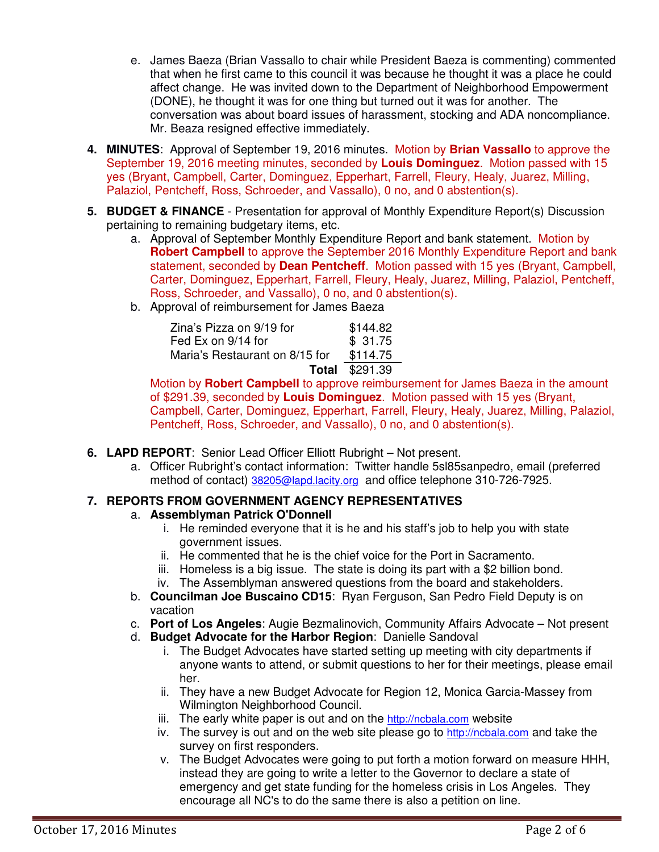- e. James Baeza (Brian Vassallo to chair while President Baeza is commenting) commented that when he first came to this council it was because he thought it was a place he could affect change. He was invited down to the Department of Neighborhood Empowerment (DONE), he thought it was for one thing but turned out it was for another. The conversation was about board issues of harassment, stocking and ADA noncompliance. Mr. Beaza resigned effective immediately.
- **4. MINUTES**: Approval of September 19, 2016 minutes. Motion by **Brian Vassallo** to approve the September 19, 2016 meeting minutes, seconded by **Louis Dominguez**. Motion passed with 15 yes (Bryant, Campbell, Carter, Dominguez, Epperhart, Farrell, Fleury, Healy, Juarez, Milling, Palaziol, Pentcheff, Ross, Schroeder, and Vassallo), 0 no, and 0 abstention(s).
- **5. BUDGET & FINANCE** Presentation for approval of Monthly Expenditure Report(s) Discussion pertaining to remaining budgetary items, etc.
	- a. Approval of September Monthly Expenditure Report and bank statement. Motion by **Robert Campbell** to approve the September 2016 Monthly Expenditure Report and bank statement, seconded by **Dean Pentcheff**. Motion passed with 15 yes (Bryant, Campbell, Carter, Dominguez, Epperhart, Farrell, Fleury, Healy, Juarez, Milling, Palaziol, Pentcheff, Ross, Schroeder, and Vassallo), 0 no, and 0 abstention(s).
	- b. Approval of reimbursement for James Baeza

| Zina's Pizza on 9/19 for       | \$144.82 |
|--------------------------------|----------|
| Fed Ex on 9/14 for             | \$31.75  |
| Maria's Restaurant on 8/15 for | \$114.75 |
| $T - 1 - 1$                    | 0.00100  |

**Total** \$291.39

Motion by **Robert Campbell** to approve reimbursement for James Baeza in the amount of \$291.39, seconded by **Louis Dominguez**. Motion passed with 15 yes (Bryant, Campbell, Carter, Dominguez, Epperhart, Farrell, Fleury, Healy, Juarez, Milling, Palaziol, Pentcheff, Ross, Schroeder, and Vassallo), 0 no, and 0 abstention(s).

- **6. LAPD REPORT**: Senior Lead Officer Elliott Rubright Not present.
	- a. Officer Rubright's contact information: Twitter handle 5sl85sanpedro, email (preferred method of contact) 38205@lapd.lacity.org and office telephone 310-726-7925.

# **7. REPORTS FROM GOVERNMENT AGENCY REPRESENTATIVES**

## a. **Assemblyman Patrick O'Donnell**

- i. He reminded everyone that it is he and his staff's job to help you with state government issues.
- ii. He commented that he is the chief voice for the Port in Sacramento.
- iii. Homeless is a big issue. The state is doing its part with a \$2 billion bond.
- iv. The Assemblyman answered questions from the board and stakeholders.
- b. **Councilman Joe Buscaino CD15**: Ryan Ferguson, San Pedro Field Deputy is on vacation
- c. **Port of Los Angeles**: Augie Bezmalinovich, Community Affairs Advocate Not present
- d. **Budget Advocate for the Harbor Region**: Danielle Sandoval
	- i. The Budget Advocates have started setting up meeting with city departments if anyone wants to attend, or submit questions to her for their meetings, please email her.
	- ii. They have a new Budget Advocate for Region 12, Monica Garcia-Massey from Wilmington Neighborhood Council.
	- iii. The early white paper is out and on the http://ncbala.com website
	- iv. The survey is out and on the web site please go to http://ncbala.com and take the survey on first responders.
	- v. The Budget Advocates were going to put forth a motion forward on measure HHH, instead they are going to write a letter to the Governor to declare a state of emergency and get state funding for the homeless crisis in Los Angeles. They encourage all NC's to do the same there is also a petition on line.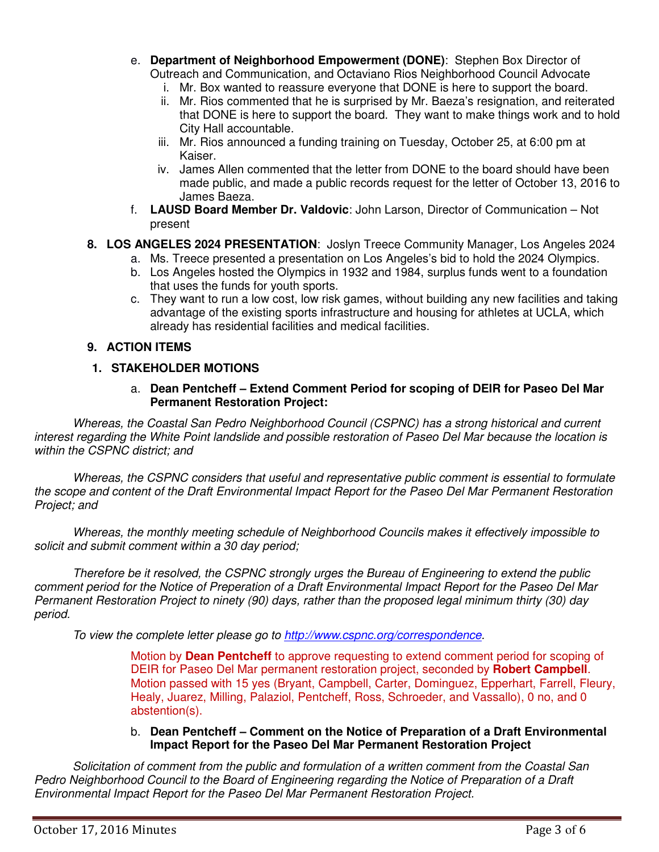- e. **Department of Neighborhood Empowerment (DONE)**:Stephen Box Director of Outreach and Communication, and Octaviano Rios Neighborhood Council Advocate
	- i. Mr. Box wanted to reassure everyone that DONE is here to support the board.
	- ii. Mr. Rios commented that he is surprised by Mr. Baeza's resignation, and reiterated that DONE is here to support the board. They want to make things work and to hold City Hall accountable.
	- iii. Mr. Rios announced a funding training on Tuesday, October 25, at 6:00 pm at Kaiser.
	- iv. James Allen commented that the letter from DONE to the board should have been made public, and made a public records request for the letter of October 13, 2016 to James Baeza.
- f. **LAUSD Board Member Dr. Valdovic**: John Larson, Director of Communication Not present
- **8. LOS ANGELES 2024 PRESENTATION**: Joslyn Treece Community Manager, Los Angeles 2024
	- a. Ms. Treece presented a presentation on Los Angeles's bid to hold the 2024 Olympics.
	- b. Los Angeles hosted the Olympics in 1932 and 1984, surplus funds went to a foundation that uses the funds for youth sports.
	- c. They want to run a low cost, low risk games, without building any new facilities and taking advantage of the existing sports infrastructure and housing for athletes at UCLA, which already has residential facilities and medical facilities.

# **9. ACTION ITEMS**

# **1. STAKEHOLDER MOTIONS**

#### a. **Dean Pentcheff – Extend Comment Period for scoping of DEIR for Paseo Del Mar Permanent Restoration Project:**

*Whereas, the Coastal San Pedro Neighborhood Council (CSPNC) has a strong historical and current interest regarding the White Point landslide and possible restoration of Paseo Del Mar because the location is within the CSPNC district; and* 

*Whereas, the CSPNC considers that useful and representative public comment is essential to formulate the scope and content of the Draft Environmental Impact Report for the Paseo Del Mar Permanent Restoration Project; and* 

*Whereas, the monthly meeting schedule of Neighborhood Councils makes it effectively impossible to solicit and submit comment within a 30 day period;* 

*Therefore be it resolved, the CSPNC strongly urges the Bureau of Engineering to extend the public comment period for the Notice of Preperation of a Draft Environmental Impact Report for the Paseo Del Mar Permanent Restoration Project to ninety (90) days, rather than the proposed legal minimum thirty (30) day period.*

*To view the complete letter please go to http://www.cspnc.org/correspondence.* 

Motion by **Dean Pentcheff** to approve requesting to extend comment period for scoping of DEIR for Paseo Del Mar permanent restoration project, seconded by **Robert Campbell**. Motion passed with 15 yes (Bryant, Campbell, Carter, Dominguez, Epperhart, Farrell, Fleury, Healy, Juarez, Milling, Palaziol, Pentcheff, Ross, Schroeder, and Vassallo), 0 no, and 0 abstention(s).

#### b. **Dean Pentcheff – Comment on the Notice of Preparation of a Draft Environmental Impact Report for the Paseo Del Mar Permanent Restoration Project**

*Solicitation of comment from the public and formulation of a written comment from the Coastal San Pedro Neighborhood Council to the Board of Engineering regarding the Notice of Preparation of a Draft Environmental Impact Report for the Paseo Del Mar Permanent Restoration Project.*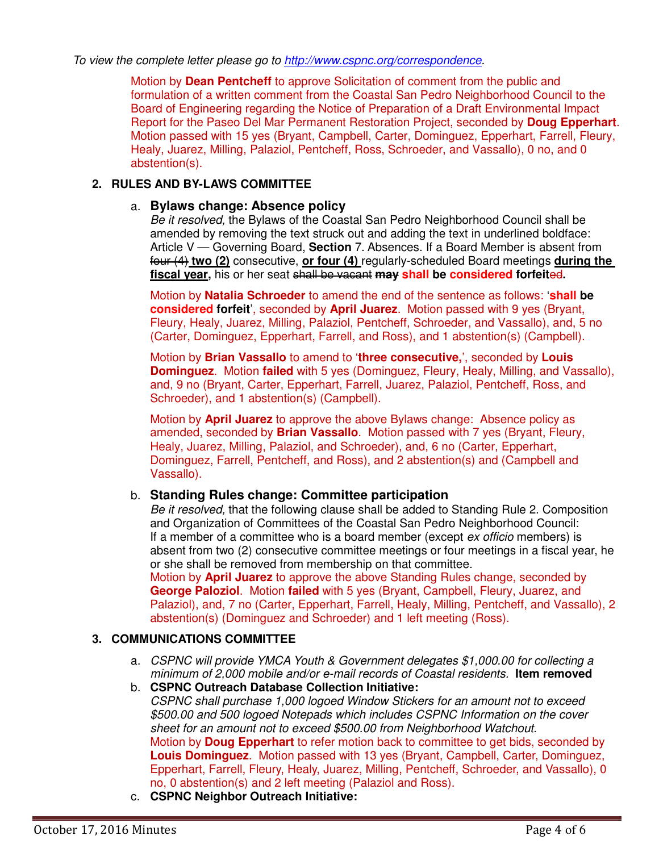#### *To view the complete letter please go to http://www.cspnc.org/correspondence.*

Motion by **Dean Pentcheff** to approve Solicitation of comment from the public and formulation of a written comment from the Coastal San Pedro Neighborhood Council to the Board of Engineering regarding the Notice of Preparation of a Draft Environmental Impact Report for the Paseo Del Mar Permanent Restoration Project, seconded by **Doug Epperhart**. Motion passed with 15 yes (Bryant, Campbell, Carter, Dominguez, Epperhart, Farrell, Fleury, Healy, Juarez, Milling, Palaziol, Pentcheff, Ross, Schroeder, and Vassallo), 0 no, and 0 abstention(s).

## **2. RULES AND BY-LAWS COMMITTEE**

#### a. **Bylaws change: Absence policy**

*Be it resolved,* the Bylaws of the Coastal San Pedro Neighborhood Council shall be amended by removing the text struck out and adding the text in underlined boldface: Article V — Governing Board, **Section** 7. Absences. If a Board Member is absent from four (4) **two (2)** consecutive, **or four (4)** regularly-scheduled Board meetings **during the**  fiscal year, his or her seat shall be vacant may shall be considered forfeited.

Motion by **Natalia Schroeder** to amend the end of the sentence as follows: '**shall be considered forfeit**', seconded by **April Juarez**. Motion passed with 9 yes (Bryant, Fleury, Healy, Juarez, Milling, Palaziol, Pentcheff, Schroeder, and Vassallo), and, 5 no (Carter, Dominguez, Epperhart, Farrell, and Ross), and 1 abstention(s) (Campbell).

Motion by **Brian Vassallo** to amend to '**three consecutive,**', seconded by **Louis Dominguez**. Motion **failed** with 5 yes (Dominguez, Fleury, Healy, Milling, and Vassallo), and, 9 no (Bryant, Carter, Epperhart, Farrell, Juarez, Palaziol, Pentcheff, Ross, and Schroeder), and 1 abstention(s) (Campbell).

Motion by **April Juarez** to approve the above Bylaws change: Absence policy as amended, seconded by **Brian Vassallo**. Motion passed with 7 yes (Bryant, Fleury, Healy, Juarez, Milling, Palaziol, and Schroeder), and, 6 no (Carter, Epperhart, Dominguez, Farrell, Pentcheff, and Ross), and 2 abstention(s) and (Campbell and Vassallo).

#### b. **Standing Rules change: Committee participation**

*Be it resolved,* that the following clause shall be added to Standing Rule 2. Composition and Organization of Committees of the Coastal San Pedro Neighborhood Council: If a member of a committee who is a board member (except *ex officio* members) is absent from two (2) consecutive committee meetings or four meetings in a fiscal year, he or she shall be removed from membership on that committee.

Motion by **April Juarez** to approve the above Standing Rules change, seconded by **George Paloziol**. Motion **failed** with 5 yes (Bryant, Campbell, Fleury, Juarez, and Palaziol), and, 7 no (Carter, Epperhart, Farrell, Healy, Milling, Pentcheff, and Vassallo), 2 abstention(s) (Dominguez and Schroeder) and 1 left meeting (Ross).

## **3. COMMUNICATIONS COMMITTEE**

- a. *CSPNC will provide YMCA Youth & Government delegates \$1,000.00 for collecting a minimum of 2,000 mobile and/or e-mail records of Coastal residents.* **Item removed**
- b. **CSPNC Outreach Database Collection Initiative:**  *CSPNC shall purchase 1,000 logoed Window Stickers for an amount not to exceed \$500.00 and 500 logoed Notepads which includes CSPNC Information on the cover sheet for an amount not to exceed \$500.00 from Neighborhood Watchout.*  Motion by **Doug Epperhart** to refer motion back to committee to get bids, seconded by **Louis Dominguez**. Motion passed with 13 yes (Bryant, Campbell, Carter, Dominguez, Epperhart, Farrell, Fleury, Healy, Juarez, Milling, Pentcheff, Schroeder, and Vassallo), 0 no, 0 abstention(s) and 2 left meeting (Palaziol and Ross).
- c. **CSPNC Neighbor Outreach Initiative:**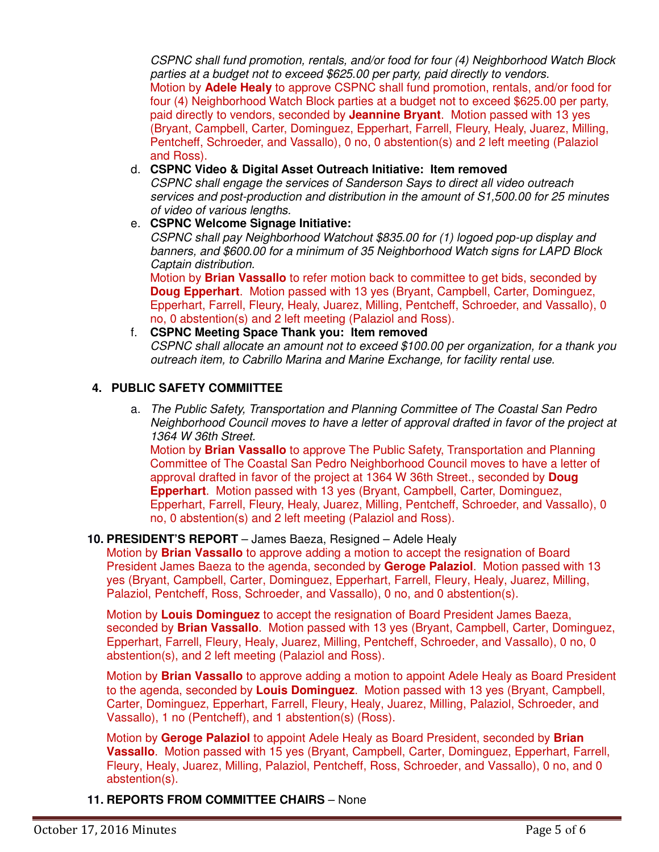*CSPNC shall fund promotion, rentals, and/or food for four (4) Neighborhood Watch Block parties at a budget not to exceed \$625.00 per party, paid directly to vendors.* Motion by **Adele Healy** to approve CSPNC shall fund promotion, rentals, and/or food for four (4) Neighborhood Watch Block parties at a budget not to exceed \$625.00 per party, paid directly to vendors, seconded by **Jeannine Bryant**. Motion passed with 13 yes (Bryant, Campbell, Carter, Dominguez, Epperhart, Farrell, Fleury, Healy, Juarez, Milling, Pentcheff, Schroeder, and Vassallo), 0 no, 0 abstention(s) and 2 left meeting (Palaziol and Ross).

#### d. **CSPNC Video & Digital Asset Outreach Initiative: Item removed**

*CSPNC shall engage the services of Sanderson Says to direct all video outreach services and post-production and distribution in the amount of S1,500.00 for 25 minutes of video of various lengths.* 

e. **CSPNC Welcome Signage Initiative:** 

*CSPNC shall pay Neighborhood Watchout \$835.00 for (1) logoed pop-up display and banners, and \$600.00 for a minimum of 35 Neighborhood Watch signs for LAPD Block Captain distribution.*

Motion by **Brian Vassallo** to refer motion back to committee to get bids, seconded by **Doug Epperhart**. Motion passed with 13 yes (Bryant, Campbell, Carter, Dominguez, Epperhart, Farrell, Fleury, Healy, Juarez, Milling, Pentcheff, Schroeder, and Vassallo), 0 no, 0 abstention(s) and 2 left meeting (Palaziol and Ross).

# f. **CSPNC Meeting Space Thank you: Item removed**

*CSPNC shall allocate an amount not to exceed \$100.00 per organization, for a thank you outreach item, to Cabrillo Marina and Marine Exchange, for facility rental use.* 

#### **4. PUBLIC SAFETY COMMIITTEE**

a. *The Public Safety, Transportation and Planning Committee of The Coastal San Pedro Neighborhood Council moves to have a letter of approval drafted in favor of the project at 1364 W 36th Street.*

Motion by **Brian Vassallo** to approve The Public Safety, Transportation and Planning Committee of The Coastal San Pedro Neighborhood Council moves to have a letter of approval drafted in favor of the project at 1364 W 36th Street., seconded by **Doug Epperhart**. Motion passed with 13 yes (Bryant, Campbell, Carter, Dominguez, Epperhart, Farrell, Fleury, Healy, Juarez, Milling, Pentcheff, Schroeder, and Vassallo), 0 no, 0 abstention(s) and 2 left meeting (Palaziol and Ross).

#### **10. PRESIDENT'S REPORT** – James Baeza, Resigned – Adele Healy

Motion by **Brian Vassallo** to approve adding a motion to accept the resignation of Board President James Baeza to the agenda, seconded by **Geroge Palaziol**. Motion passed with 13 yes (Bryant, Campbell, Carter, Dominguez, Epperhart, Farrell, Fleury, Healy, Juarez, Milling, Palaziol, Pentcheff, Ross, Schroeder, and Vassallo), 0 no, and 0 abstention(s).

Motion by **Louis Dominguez** to accept the resignation of Board President James Baeza, seconded by **Brian Vassallo**. Motion passed with 13 yes (Bryant, Campbell, Carter, Dominguez, Epperhart, Farrell, Fleury, Healy, Juarez, Milling, Pentcheff, Schroeder, and Vassallo), 0 no, 0 abstention(s), and 2 left meeting (Palaziol and Ross).

Motion by **Brian Vassallo** to approve adding a motion to appoint Adele Healy as Board President to the agenda, seconded by **Louis Dominguez**. Motion passed with 13 yes (Bryant, Campbell, Carter, Dominguez, Epperhart, Farrell, Fleury, Healy, Juarez, Milling, Palaziol, Schroeder, and Vassallo), 1 no (Pentcheff), and 1 abstention(s) (Ross).

Motion by **Geroge Palaziol** to appoint Adele Healy as Board President, seconded by **Brian Vassallo**. Motion passed with 15 yes (Bryant, Campbell, Carter, Dominguez, Epperhart, Farrell, Fleury, Healy, Juarez, Milling, Palaziol, Pentcheff, Ross, Schroeder, and Vassallo), 0 no, and 0 abstention(s).

**11. REPORTS FROM COMMITTEE CHAIRS** – None